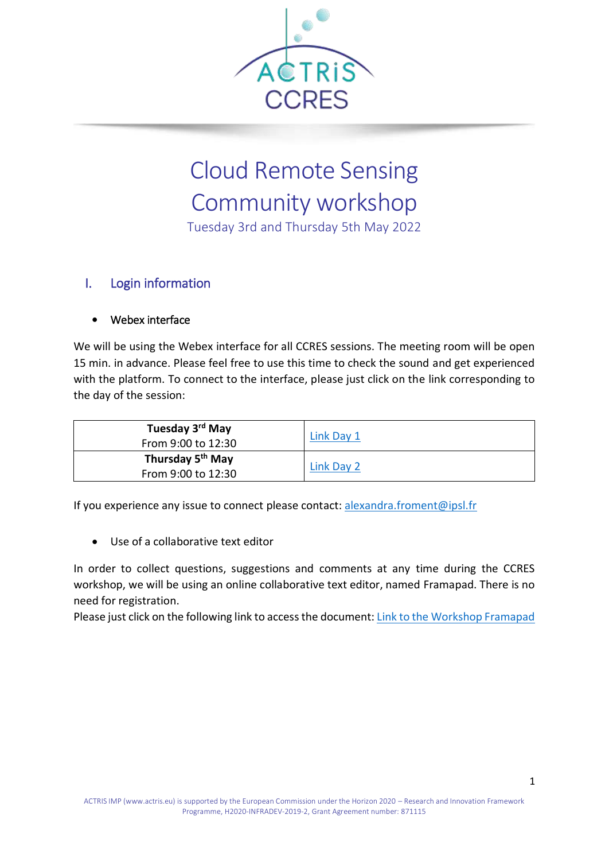

## Cloud Remote Sensing Community workshop

Tuesday 3rd and Thursday 5th May 2022

## I. Login information

## Webex interface

We will be using the Webex interface for all CCRES sessions. The meeting room will be open 15 min. in advance. Please feel free to use this time to check the sound and get experienced with the platform. To connect to the interface, please just click on the link corresponding to the day of the session:

| Tuesday 3 <sup>rd</sup> May  | Link Day 1 |  |
|------------------------------|------------|--|
| From 9:00 to 12:30           |            |  |
| Thursday 5 <sup>th</sup> May | Link Day 2 |  |
| From 9:00 to 12:30           |            |  |

If you experience any issue to connect please contact: [alexandra.froment@ipsl.fr](mailto:alexandra.froment@ipsl.fr)

Use of a collaborative text editor

In order to collect questions, suggestions and comments at any time during the CCRES workshop, we will be using an online collaborative text editor, named Framapad. There is no need for registration.

Please just click on the following link to access the document: [Link to the Workshop Framapad](https://mypads2.framapad.org/p/ccres-workshop-2022-6v18q89l1)